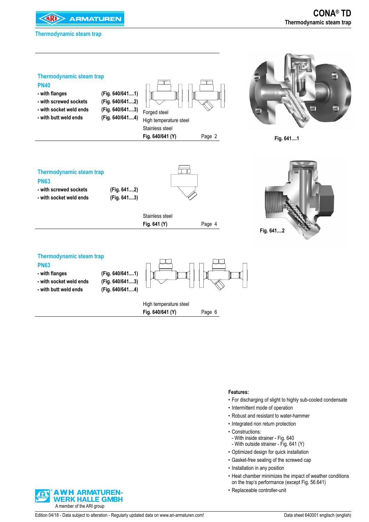





**Fig. 641....1** 

| <b>Thermodynamic steam trap</b> |             |                 |        |
|---------------------------------|-------------|-----------------|--------|
| <b>PN63</b>                     |             |                 |        |
| - with screwed sockets          | (Fig. 6412) |                 |        |
| - with socket weld ends         | (Fig. 6413) |                 |        |
|                                 |             | Stainless steel |        |
|                                 |             |                 |        |
|                                 |             | Fig. 641 (Y)    | Page 4 |
|                                 |             |                 |        |



#### **Thermodynamic steam trap**

| - with socket weld ends<br>- with butt weld ends | (Fig. 640/6413)<br>(Fig. 640/6414) | High temperature steel |        |
|--------------------------------------------------|------------------------------------|------------------------|--------|
|                                                  |                                    |                        |        |
|                                                  |                                    | Fig. 640/641 (Y)       | Page 6 |

#### **Features:**

- For discharging of slight to highly sub-cooled condensate
- Intermittent mode of operation
- • Robust and resistant to water-hammer
- Integrated non return protection
- Constructions:
- With inside strainer Fig. 640
- With outside strainer Fig. 641 (Y)
- • Optimized design for quick installation
- • Gasket-free sealing of the screwed cap
- Installation in any position
- • Heat chamber minimizes the impact of weather conditions on the trap's performance (except Fig. 56.641)
- • Replaceable controller-unit

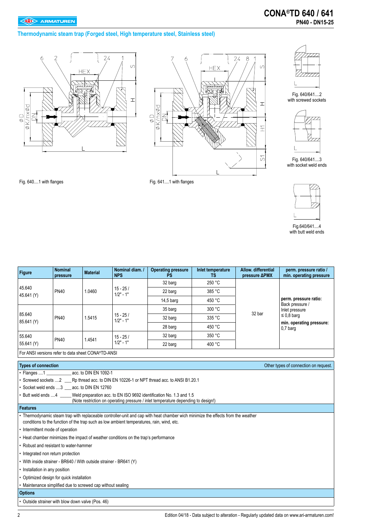### **Thermodynamic steam trap (Forged steel, High temperature steel, Stainless steel)**







Fig. 640/641....2 with screwed sockets



Fig. 640/641....3 with socket weld ends



Fig.640/641....4 with butt weld ends

Fig. 640....1 with flanges example and the Fig. 641....1 with flanges

| <b>Figure</b>                                                      | <b>Nominal</b><br>pressure | <b>Material</b> | Nominal diam. /<br><b>NPS</b>                                                             | <b>Operating pressure</b><br>PS                                                                                                                                                   | Inlet temperature<br>TS. | Allow. differential<br>pressure ΔPMX | perm. pressure ratio /<br>min. operating pressure |  |  |  |
|--------------------------------------------------------------------|----------------------------|-----------------|-------------------------------------------------------------------------------------------|-----------------------------------------------------------------------------------------------------------------------------------------------------------------------------------|--------------------------|--------------------------------------|---------------------------------------------------|--|--|--|
|                                                                    |                            |                 |                                                                                           | 32 barg                                                                                                                                                                           | 250 °C                   |                                      |                                                   |  |  |  |
| 45.640                                                             | <b>PN40</b>                | 1.0460          | $15 - 25/$<br>$1/2" - 1"$                                                                 | 22 barg                                                                                                                                                                           | 385 °C                   |                                      |                                                   |  |  |  |
| 45.641 (Y)                                                         |                            |                 |                                                                                           | 14,5 barg                                                                                                                                                                         | 450 °C                   |                                      | perm. pressure ratio:                             |  |  |  |
|                                                                    |                            |                 |                                                                                           | 35 barg                                                                                                                                                                           | 300 °C                   |                                      | Back pressure /<br>Inlet pressure                 |  |  |  |
| 85.640<br>85.641 (Y)                                               | <b>PN40</b>                | 1.5415          | $15 - 25/$<br>$1/2" - 1"$                                                                 | 32 barg                                                                                                                                                                           | 335 °C                   | 32 bar                               | $\leq$ 0,8 barg                                   |  |  |  |
|                                                                    |                            |                 |                                                                                           | 28 barg                                                                                                                                                                           | 450 °C                   |                                      | min. operating pressure:<br>$0.7b$ arq            |  |  |  |
| 55.640                                                             |                            |                 | $15 - 25/$                                                                                | 32 barg                                                                                                                                                                           | 350 °C                   |                                      |                                                   |  |  |  |
| 55.641 (Y)                                                         | <b>PN40</b>                | 1.4541          | $1/2" - 1"$                                                                               | 22 barg                                                                                                                                                                           | 400 °C                   |                                      |                                                   |  |  |  |
| For ANSI versions refer to data sheet CONA®TD-ANSI                 |                            |                 |                                                                                           |                                                                                                                                                                                   |                          |                                      |                                                   |  |  |  |
| <b>Types of connection</b>                                         |                            |                 |                                                                                           |                                                                                                                                                                                   |                          |                                      | Other types of connection on request.             |  |  |  |
| • Flanges 1 _____________ acc. to DIN EN 1092-1                    |                            |                 |                                                                                           |                                                                                                                                                                                   |                          |                                      |                                                   |  |  |  |
|                                                                    |                            |                 |                                                                                           | • Screwed sockets 2 ___ Rp thread acc. to DIN EN 10226-1 or NPT thread acc. to ANSI B1.20.1                                                                                       |                          |                                      |                                                   |  |  |  |
| • Socket weld ends  3 __ acc. to DIN EN 12760                      |                            |                 |                                                                                           |                                                                                                                                                                                   |                          |                                      |                                                   |  |  |  |
|                                                                    |                            |                 |                                                                                           | • Butt weld ends 4 _____ Weld preparation acc. to EN ISO 9692 identification No. 1.3 and 1.5<br>(Note restriction on operating pressure / inlet temperature depending to design!) |                          |                                      |                                                   |  |  |  |
| <b>Features</b>                                                    |                            |                 |                                                                                           |                                                                                                                                                                                   |                          |                                      |                                                   |  |  |  |
|                                                                    |                            |                 | conditions to the function of the trap such as low ambient temperatures, rain, wind, etc. | • Thermodynamic steam trap with replaceable controller-unit and cap with heat chamber wich minimize the effects from the weather                                                  |                          |                                      |                                                   |  |  |  |
| • Intermittent mode of operation                                   |                            |                 |                                                                                           |                                                                                                                                                                                   |                          |                                      |                                                   |  |  |  |
|                                                                    |                            |                 | • Heat chamber minimizes the impact of weather conditions on the trap's performance       |                                                                                                                                                                                   |                          |                                      |                                                   |  |  |  |
| • Robust and resistant to water-hammer                             |                            |                 |                                                                                           |                                                                                                                                                                                   |                          |                                      |                                                   |  |  |  |
| • Integrated non return protection                                 |                            |                 |                                                                                           |                                                                                                                                                                                   |                          |                                      |                                                   |  |  |  |
| • With inside strainer - BR640 / With outside strainer - BR641 (Y) |                            |                 |                                                                                           |                                                                                                                                                                                   |                          |                                      |                                                   |  |  |  |
| • Installation in any position                                     |                            |                 |                                                                                           |                                                                                                                                                                                   |                          |                                      |                                                   |  |  |  |
| • Optimized design for quick installation                          |                            |                 |                                                                                           |                                                                                                                                                                                   |                          |                                      |                                                   |  |  |  |
| • Maintenance simplified due to screwed cap without sealing        |                            |                 |                                                                                           |                                                                                                                                                                                   |                          |                                      |                                                   |  |  |  |
| <b>Options</b>                                                     |                            |                 |                                                                                           |                                                                                                                                                                                   |                          |                                      |                                                   |  |  |  |
| • Outside strainer with blow down valve (Pos. 46)                  |                            |                 |                                                                                           |                                                                                                                                                                                   |                          |                                      |                                                   |  |  |  |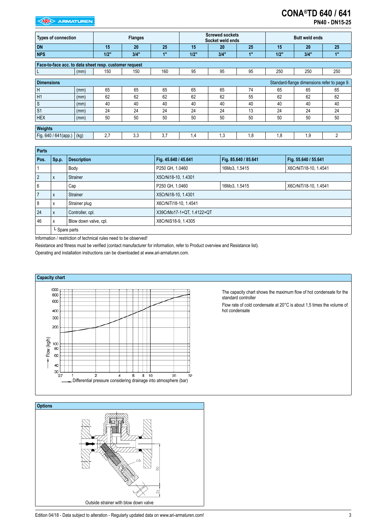# **CONA®TD 640 / 641**

**PN40 - DN15-25** 

| <b>Types of connection</b>                             |      |      | <b>Flanges</b> |     |      | <b>Screwed sockets</b><br>Socket weld ends |                |      | <b>Butt weld ends</b>                       |                |
|--------------------------------------------------------|------|------|----------------|-----|------|--------------------------------------------|----------------|------|---------------------------------------------|----------------|
| <b>DN</b>                                              |      | 15   | 20             | 25  | 15   | 20                                         | 25             | 15   | 20                                          | 25             |
| <b>NPS</b>                                             |      | 1/2" | 3/4"           | 1"  | 1/2" | 3/4"                                       | 4 <sup>m</sup> | 1/2" | 3/4"                                        | 1"             |
| Face-to-face acc. to data sheet resp. customer request |      |      |                |     |      |                                            |                |      |                                             |                |
| L                                                      | (mm) | 150  | 150            | 160 | 95   | 95                                         | 95             | 250  | 250                                         | 250            |
| <b>Dimensions</b>                                      |      |      |                |     |      |                                            |                |      | Standard-flange dimensions refer to page 9. |                |
| H                                                      | (mm) | 65   | 65             | 65  | 65   | 65                                         | 74             | 65   | 65                                          | 65             |
| H1                                                     | (mm) | 62   | 62             | 62  | 62   | 62                                         | 55             | 62   | 62                                          | 62             |
| $\ensuremath{\mathsf{S}}$                              | (mm) | 40   | 40             | 40  | 40   | 40                                         | 40             | 40   | 40                                          | 40             |
| S <sub>1</sub>                                         | (mm) | 24   | 24             | 24  | 24   | 24                                         | 13             | 24   | 24                                          | 24             |
| <b>HEX</b>                                             | (mm) | 50   | 50             | 50  | 50   | 50                                         | 50             | 50   | 50                                          | 50             |
| Weights                                                |      |      |                |     |      |                                            |                |      |                                             |                |
| Fig. 640 / 641(app.)                                   | (kg) | 2,7  | 3,3            | 3,7 | 1,4  | 1,3                                        | 1,8            | 1,8  | 1,9                                         | $\overline{2}$ |

| <b>Parts</b> |              |                       |                           |                      |                       |  |  |  |  |
|--------------|--------------|-----------------------|---------------------------|----------------------|-----------------------|--|--|--|--|
| Pos.         | Sp.p.        | <b>Description</b>    | Fig. 45.640 / 45.641      | Fig. 85.640 / 85.641 | Fig. 55.640 / 55.641  |  |  |  |  |
|              |              | Body                  | P250 GH, 1.0460           | 16Mo3, 1.5415        | X6CrNiTi18-10, 1.4541 |  |  |  |  |
| 2            | $\mathsf{x}$ | Strainer              | X5CrNi18-10, 1.4301       |                      |                       |  |  |  |  |
| 6            |              | Cap                   | P250 GH, 1.0460           | 16Mo3, 1.5415        | X6CrNiTi18-10, 1.4541 |  |  |  |  |
|              | X            | Strainer              | X5CrNi18-10, 1.4301       |                      |                       |  |  |  |  |
| 8            | X            | Strainer plug         | X6CrNiTi18-10, 1.4541     |                      |                       |  |  |  |  |
| 24           | $\mathsf{x}$ | Controller, cpl.      | X39CrMo17-1+QT, 1.4122+QT |                      |                       |  |  |  |  |
| 46           | X            | Blow down valve, cpl. | X8CrNiS18-9, 1.4305       |                      |                       |  |  |  |  |
|              |              | L Spare parts         |                           |                      |                       |  |  |  |  |

Information / restriction of technical rules need to be observed!

Resistance and fitness must be verified (contact manufacturer for information, refer to Product overview and Resistance list).

Operating and installation instructions can be downloaded at www.ari-armaturen.com.



The capacity chart shows the maximum flow of hot condensate for the standard controller

Flow rate of cold condensate at 20°C is about 1,5 times the volume of hot condensate



Edition 04/18 - Data subject to alteration - Regularly updated data on www.ari-armaturen.com!<br>3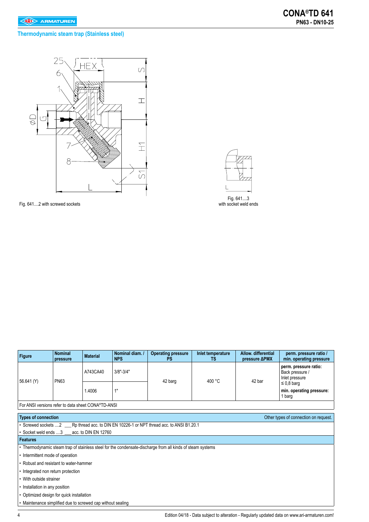### **Thermodynamic steam trap (Stainless steel)**



Fig. 641....2 with screwed sockets

Fig. 641....3

with socket weld ends

| Figure     | <b>Nominal</b><br>pressure                         | <b>Material</b> | Nominal diam.<br><b>NPS</b> | <b>Operating pressure</b><br>PS | Inlet temperature<br>TS | Allow, differential<br>pressure <b>APMX</b> | perm. pressure ratio /<br>min. operating pressure          |  |  |
|------------|----------------------------------------------------|-----------------|-----------------------------|---------------------------------|-------------------------|---------------------------------------------|------------------------------------------------------------|--|--|
|            |                                                    | A743CA40        | $3/8" - 3/4"$               |                                 | 400 °C                  | 42 bar                                      | perm. pressure ratio:<br>Back pressure /<br>Inlet pressure |  |  |
| 56.641 (Y) | <b>PN63</b>                                        | 1.4006          | 4 <sub>II</sub>             | 42 barg                         |                         |                                             | $\leq$ 0.8 barg<br>min. operating pressure:<br>1 barg      |  |  |
|            | For ANSI versions refer to data sheet CONA®TD-ANSI |                 |                             |                                 |                         |                                             |                                                            |  |  |

**Types of connection Connection Connection Connection Other types of connection** on request. • Screwed sockets ....2 \_\_\_\_\_Rp thread acc. to DIN EN 10226-1 or NPT thread acc. to ANSI B1.20.1 • Socket weld ends ....3 \_\_\_ acc. to DIN EN 12760 **Features**  • Thermodynamic steam trap of stainless steel for the condensate-discharge from all kinds of steam systems • Intermittent mode of operation • Robust and resistant to water-hammer • Integrated non return protection • With outside strainer • Installation in any position • Optimized design for quick installation

• Maintenance simplified due to screwed cap without sealing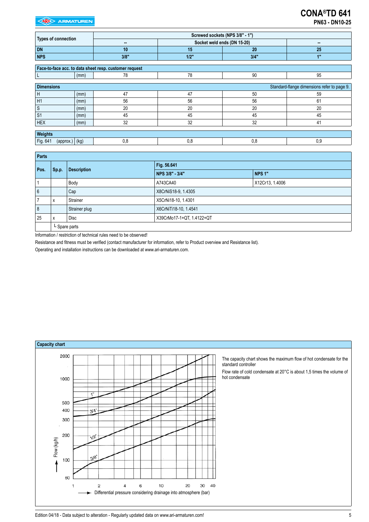|                                              |      |                                                        |         | Screwed sockets (NPS 3/8" - 1") |                                             |
|----------------------------------------------|------|--------------------------------------------------------|---------|---------------------------------|---------------------------------------------|
| <b>Types of connection</b>                   |      | ш.                                                     |         | Socket weld ends (DN 15-20)     | --                                          |
| <b>DN</b>                                    |      | 10                                                     | 15      | 20                              | 25                                          |
| <b>NPS</b>                                   |      | 3/8"                                                   | $1/2$ " | 3/4"                            | 1"                                          |
|                                              |      |                                                        |         |                                 |                                             |
|                                              |      | Face-to-face acc. to data sheet resp. customer request |         |                                 |                                             |
|                                              | (mm) | 78                                                     | 78      | 90                              | 95                                          |
|                                              |      |                                                        |         |                                 |                                             |
| <b>Dimensions</b>                            |      |                                                        |         |                                 | Standard-flange dimensions refer to page 9. |
| H                                            | (mm) | 47                                                     | 47      | 50                              | 59                                          |
| H1                                           | (mm) | 56                                                     | 56      | 56                              | 61                                          |
| $\ensuremath{\mathsf{S}}$                    | (mm) | 20                                                     | 20      | 20                              | 20                                          |
| S <sub>1</sub>                               | (mm) | 45                                                     | 45      | 45                              | 45                                          |
| <b>HEX</b>                                   | (mm) | 32                                                     | 32      | 32                              | 41                                          |
|                                              |      |                                                        |         |                                 |                                             |
| Weights                                      |      |                                                        |         |                                 |                                             |
| Fig. 641<br>$(\text{approx.})   (\text{kg})$ |      | 0,8                                                    | 0,8     | 0,8                             | 0.9                                         |

| Parts                    |               |                    |                          |                 |  |  |  |  |
|--------------------------|---------------|--------------------|--------------------------|-----------------|--|--|--|--|
| Pos.                     | Sp.p.         | <b>Description</b> | Fig. 56.641              |                 |  |  |  |  |
|                          |               |                    | NPS 3/8" - 3/4"          | <b>NPS 1"</b>   |  |  |  |  |
|                          |               | Body               | A743CA40                 | X12Cr13, 1.4006 |  |  |  |  |
| 6                        |               | Cap                | X8CrNiS18-9, 1.4305      |                 |  |  |  |  |
| $\overline{\phantom{a}}$ | X             | Strainer           | X5CrNi18-10, 1.4301      |                 |  |  |  |  |
| 8                        |               | Strainer plug      | X6CrNiTi18-10, 1.4541    |                 |  |  |  |  |
| 25                       | x             | Disc               | X39CrMo17-1+QT 1.4122+QT |                 |  |  |  |  |
|                          | L Spare parts |                    |                          |                 |  |  |  |  |

Information / restriction of technical rules need to be observed!

Resistance and fitness must be verified (contact manufacturer for information, refer to Product overview and Resistance list).

Operating and installation instructions can be downloaded at www.ari-armaturen.com.



Edition 04/18 - Data subject to alteration - Regularly updated data on www.ari-armaturen.com!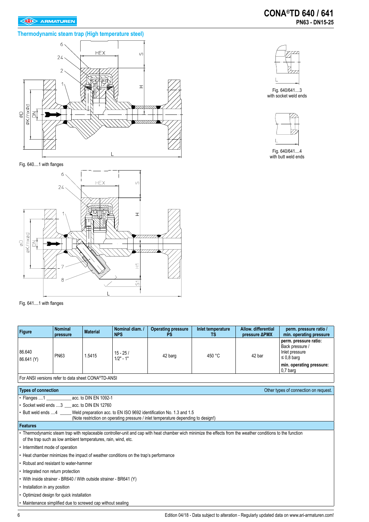## **Thermodynamic steam trap (High temperature steel)**





Fig. 640/641....3 with socket weld ends



Fig. 640/641....4 with butt weld ends





Fig. 641....1 with flanges

| Figure                                                             | <b>Nominal</b><br>pressure | <b>Material</b> | Nominal diam. /<br><b>NPS</b>                                                       | <b>Operating pressure</b><br><b>PS</b>                                                                                                                                      | Inlet temperature<br>ТS | Allow. differential<br>pressure ΔPMX | perm. pressure ratio /<br>min. operating pressure                             |
|--------------------------------------------------------------------|----------------------------|-----------------|-------------------------------------------------------------------------------------|-----------------------------------------------------------------------------------------------------------------------------------------------------------------------------|-------------------------|--------------------------------------|-------------------------------------------------------------------------------|
| 86.640<br>86.641 (Y)                                               | <b>PN63</b>                | 1.5415          | $15 - 25/$<br>$1/2" - 1"$                                                           | 42 barg                                                                                                                                                                     | 450 °C                  | 42 bar                               | perm. pressure ratio:<br>Back pressure /<br>Inlet pressure<br>$\leq 0.8$ barg |
|                                                                    |                            |                 |                                                                                     |                                                                                                                                                                             |                         |                                      | min. operating pressure:<br>$0.7b$ arq                                        |
| For ANSI versions refer to data sheet CONA®TD-ANSI                 |                            |                 |                                                                                     |                                                                                                                                                                             |                         |                                      |                                                                               |
| <b>Types of connection</b>                                         |                            |                 |                                                                                     |                                                                                                                                                                             |                         |                                      | Other types of connection on request.                                         |
| • Flanges 1 acc. to DIN EN 1092-1                                  |                            |                 |                                                                                     |                                                                                                                                                                             |                         |                                      |                                                                               |
| • Socket weld ends 3 acc. to DIN EN 12760                          |                            |                 |                                                                                     |                                                                                                                                                                             |                         |                                      |                                                                               |
|                                                                    |                            |                 |                                                                                     | • Butt weld ends 4 Weld preparation acc. to EN ISO 9692 identification No. 1.3 and 1.5<br>(Note restriction on operating pressure / inlet temperature depending to design!) |                         |                                      |                                                                               |
| <b>Features</b>                                                    |                            |                 |                                                                                     |                                                                                                                                                                             |                         |                                      |                                                                               |
| of the trap such as low ambient temperatures, rain, wind, etc.     |                            |                 |                                                                                     | • Thermodynamic steam trap with replaceable controller-unit and cap with heat chamber wich minimize the effects from the weather conditions to the function                 |                         |                                      |                                                                               |
| • Intermittent mode of operation                                   |                            |                 |                                                                                     |                                                                                                                                                                             |                         |                                      |                                                                               |
|                                                                    |                            |                 | • Heat chamber minimizes the impact of weather conditions on the trap's performance |                                                                                                                                                                             |                         |                                      |                                                                               |
| • Robust and resistant to water-hammer                             |                            |                 |                                                                                     |                                                                                                                                                                             |                         |                                      |                                                                               |
| • Integrated non return protection                                 |                            |                 |                                                                                     |                                                                                                                                                                             |                         |                                      |                                                                               |
| • With inside strainer - BR640 / With outside strainer - BR641 (Y) |                            |                 |                                                                                     |                                                                                                                                                                             |                         |                                      |                                                                               |
| • Installation in any position                                     |                            |                 |                                                                                     |                                                                                                                                                                             |                         |                                      |                                                                               |
| • Optimized design for quick installation                          |                            |                 |                                                                                     |                                                                                                                                                                             |                         |                                      |                                                                               |
| • Maintenance simplified due to screwed cap without sealing        |                            |                 |                                                                                     |                                                                                                                                                                             |                         |                                      |                                                                               |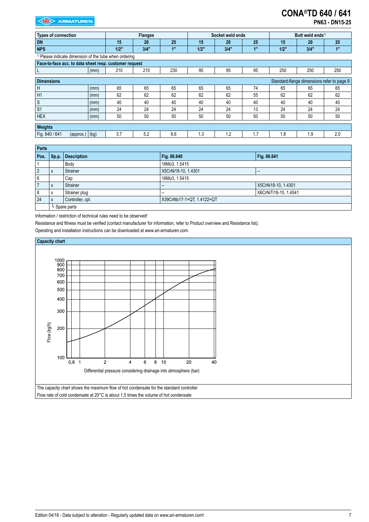# **CONA®TD 640 / 641**

**PN63 - DN15-25**

| <b>Types of connection</b>                                        |      |      | <b>Flanges</b> |                |      | Socket weld ends |     |         | Butt weld ends <sup>1)</sup>               |     |
|-------------------------------------------------------------------|------|------|----------------|----------------|------|------------------|-----|---------|--------------------------------------------|-----|
| <b>DN</b>                                                         |      | 15   | 20             | 25             | 15   | 20               | 25  | 15      | 20                                         | 25  |
| <b>NPS</b>                                                        |      | 1/2" | 3/4"           | 4 <sup>m</sup> | 1/2" | 3/4"             | 1"  | $1/2$ " | 3/4"                                       | 1"  |
| <sup>1)</sup> Please indicate dimension of the tube when ordering |      |      |                |                |      |                  |     |         |                                            |     |
| Face-to-face acc. to data sheet resp. customer request            |      |      |                |                |      |                  |     |         |                                            |     |
|                                                                   | (mm) | 210  | 210            | 230            | 95   | 95               | 95  | 250     | 250                                        | 250 |
| <b>Dimensions</b>                                                 |      |      |                |                |      |                  |     |         | Standard-flange dimensions refer to page 9 |     |
| Ή                                                                 | (mm) | 65   | 65             | 65             | 65   | 65               | 74  | 65      | 65                                         | 65  |
| H1                                                                | (mm) | 62   | 62             | 62             | 62   | 62               | 55  | 62      | 62                                         | 62  |
| <sub>S</sub>                                                      | (mm) | 40   | 40             | 40             | 40   | 40               | 40  | 40      | 40                                         | 40  |
| S <sub>1</sub>                                                    | (mm) | 24   | 24             | 24             | 24   | 24               | 13  | 24      | 24                                         | 24  |
| <b>HEX</b>                                                        | (mm) | 50   | 50             | 50             | 50   | 50               | 50  | 50      | 50                                         | 50  |
| Weights                                                           |      |      |                |                |      |                  |     |         |                                            |     |
| Fig. 640 / 641<br>$(\text{approx.})   (\text{kg})$                |      | 3.7  | 5,2            | 6,6            | 1.3  | 1,2              | 1,7 | 1,8     | 1.9                                        | 2,0 |

| <b>Parts</b> |               |                    |                           |                          |  |  |  |
|--------------|---------------|--------------------|---------------------------|--------------------------|--|--|--|
| Pos.         | Sp.p.         | <b>Description</b> | Fig. 86.640               | Fig. 86.641              |  |  |  |
|              |               | Body               | 16Mo3, 1.5415             |                          |  |  |  |
| 2            | X             | Strainer           | X5CrNi18-10, 1.4301       | $\overline{\phantom{a}}$ |  |  |  |
| 6            |               | Cap                | 16Mo3, 1.5415             |                          |  |  |  |
|              | X             | <b>Strainer</b>    | $\overline{\phantom{a}}$  | X5CrNi18-10, 1.4301      |  |  |  |
| 8            | X             | Strainer plug      | $\overline{\phantom{a}}$  | X6CrNiTi18-10, 1.4541    |  |  |  |
| 24           | X             | Controller, cpl.   | X39CrMo17-1+QT, 1.4122+QT |                          |  |  |  |
|              | L Spare parts |                    |                           |                          |  |  |  |

Information / restriction of technical rules need to be observed!

Resistance and fitness must be verified (contact manufacturer for information, refer to Product overview and Resistance list).

Operating and installation instructions can be downloaded at www.ari-armaturen.com.

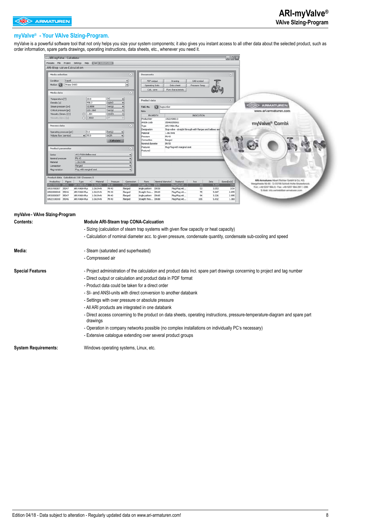#### **myValve® - Your VAlve SIzing-Program.**

myValve is a powerful software tool that not only helps you size your system components; it also gives you instant access to all other data about the selected product, such as order information, spare parts drawings, operating instructions, data sheets, etc., whenever you need it.

| $\Box$ ex<br>ARI-myValve - Calculator                                                                                                                                                                                                                                                                                     |  |
|---------------------------------------------------------------------------------------------------------------------------------------------------------------------------------------------------------------------------------------------------------------------------------------------------------------------------|--|
| Modules File Project Settings Help CARES AUMANAUGUN                                                                                                                                                                                                                                                                       |  |
| ARI-Stop valve-Calculation                                                                                                                                                                                                                                                                                                |  |
| Media selection<br>$\circledR$<br>凤<br>Documents                                                                                                                                                                                                                                                                          |  |
| Liquid<br>CAD-symbol<br>PDF-output<br>Drawing<br>⋥<br>Water   H2O<br>Operating Instr.<br>Data sheet<br>Pressure-Temp                                                                                                                                                                                                      |  |
| Calc, save<br>Flow characteristic<br>Q                                                                                                                                                                                                                                                                                    |  |
| 20.0<br>°C<br>Temperature [T]<br>Product data<br>凤<br>kg/m3<br>998.2<br><b>ARMATUREN</b>                                                                                                                                                                                                                                  |  |
| Steam pressure [pv]<br>$-0.9898$<br>bar(a)<br>n<br>TAG-No.<br>tagnumber<br>bar(g)<br>Critical pressure [pc]<br>220.1868                                                                                                                                                                                                   |  |
| www.ari-armaturen.com<br>Nobe<br>mm2/s<br>Viscosity (kinem.) [v]<br>$\odot$ 1.004<br><b>INDICATION</b><br><b>PROPERTY</b>                                                                                                                                                                                                 |  |
| Viscosity (dyn.) [n]<br>$\bigcirc$ 1.0022<br>10521900013<br>Productkey                                                                                                                                                                                                                                                    |  |
| Article code<br>350460050011<br>myValve® Combi<br>Process data<br>$\circledR$<br>ARI-FABA-Plus                                                                                                                                                                                                                            |  |
| Type<br>Stop valve - straight through with flanges and belows seal<br>Designation                                                                                                                                                                                                                                         |  |
| 5.0<br>bar(g)<br>Operating pressure [p1]<br>Material<br>1.0619+N<br>Volume flow (service)<br>$-25.0$<br>m <sub>3/h</sub>                                                                                                                                                                                                  |  |
| PN 40<br>Pressure<br>Connection<br>flanged<br><b>Calculate</b>                                                                                                                                                                                                                                                            |  |
| Nominal diameter<br>DN 50                                                                                                                                                                                                                                                                                                 |  |
| Plug:Plug with marginal seat<br>Feature1<br>Product parameter<br>闵                                                                                                                                                                                                                                                        |  |
| Feature2<br>ARI-FABA-Bellow seal<br>۰                                                                                                                                                                                                                                                                                     |  |
| PN 40<br>Nominal pressure<br>۰                                                                                                                                                                                                                                                                                            |  |
| $1.0619 + N$<br>۰                                                                                                                                                                                                                                                                                                         |  |
| flanged<br>٠<br>Plug with marginal seat                                                                                                                                                                                                                                                                                   |  |
| ۰                                                                                                                                                                                                                                                                                                                         |  |
| Product data Calculated: 218 Choosen: 5                                                                                                                                                                                                                                                                                   |  |
| ARG Armatures, No.wt Richter Orct/H & Co., KG.<br>Material<br>Pressure<br>Form<br>Nominal diameter<br>Feature1<br>kvs<br>Zeta<br>Speed[m/s]<br>Figure<br>Type<br>$\left  \cdot \right $<br>Connection<br>Margelheids 56-65 - D-33758 Schloß Hoffe-Shakerkrock                                                             |  |
| 43<br>ARI-FABA-Plus<br>$1.0619 + N$<br>PN 40<br>DN 50<br>0521900013 35046<br>flanged<br>Straight thro<br>Plug:Plug wit<br>5.397<br>3.54<br>Forc +48 5207 994-5 - Fax: +49 5207 994-297 /-298<br>35047<br>ARI-FABA-Plus<br>Angle pattern DN 50<br>53<br>$1.0619 + N$<br>PN 40<br>Plug:Plug wit<br>3.553<br>3.54<br>flanged |  |
| 5-Mail: Info.contrivibilitati-armatunen.com<br>75<br>5.067<br>2.095<br>35046<br>ARI-FABA-Plus<br>$1.0619 + N$<br>PN 40<br>Straight thro DN 65<br>flanged<br>Plug:Plug wit                                                                                                                                                 |  |
| Angle pattern DN 65<br>94<br>35047<br>ARI-FABA-Plus<br>$1.0619 + N$<br>PN 40<br>Plug:Plug wit<br>3.226<br>2.095<br>flanged                                                                                                                                                                                                |  |
| 10522100010 35046<br>ARI-FABA-Plus<br>1.0619+N<br>PN 40<br>flanged<br>Straight thro DN 80<br>Plug:Plug wit<br>105<br>5.932<br>1.383                                                                                                                                                                                       |  |

| myValve - VAIve SIzing-Program |                                                                                                                                           |  |  |  |
|--------------------------------|-------------------------------------------------------------------------------------------------------------------------------------------|--|--|--|
| <b>Contents:</b>               | <b>Module ARI-Steam trap CONA-Calcuation</b>                                                                                              |  |  |  |
|                                | - Sizing (calculation of steam trap systems with given flow capacity or heat capacity)                                                    |  |  |  |
|                                | - Calculation of nominal diameter acc. to given pressure, condensate quantity, condensate sub-cooling and speed                           |  |  |  |
| Media:                         | - Steam (saturated and superheated)                                                                                                       |  |  |  |
|                                | - Compressed air                                                                                                                          |  |  |  |
| <b>Special Features</b>        | - Project administration of the calculation and product data incl. spare part drawings concerning to project and tag number               |  |  |  |
|                                | - Direct output or calculation and product data in PDF format                                                                             |  |  |  |
|                                | - Product data could be taken for a direct order                                                                                          |  |  |  |
|                                | - SI- and ANSI-units with direct conversion to another databank                                                                           |  |  |  |
|                                | - Settings with over pressure or absolute pressure                                                                                        |  |  |  |
|                                | - All ARI products are integrated in one databank                                                                                         |  |  |  |
|                                | - Direct access concerning to the product on data sheets, operating instructions, pressure-temperature-diagram and spare part<br>drawings |  |  |  |
|                                | - Operation in company networks possible (no complex installations on individually PC's necessary)                                        |  |  |  |
|                                | - Extensive catalogue extending over several product groups                                                                               |  |  |  |
| <b>System Requirements:</b>    | Windows operating systems, Linux, etc.                                                                                                    |  |  |  |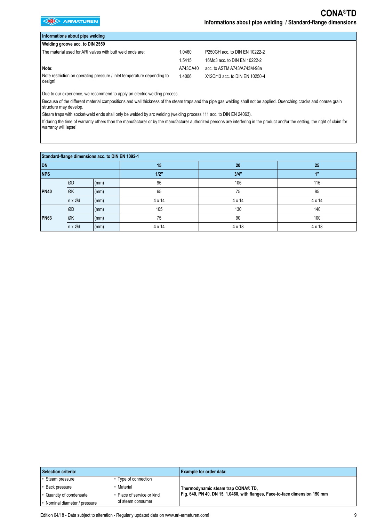| Informations about pipe welding                                                    |          |                                |
|------------------------------------------------------------------------------------|----------|--------------------------------|
| Welding groove acc. to DIN 2559                                                    |          |                                |
| The material used for ARI valves with butt weld ends are:                          | 1.0460   | P250GH acc. to DIN EN 10222-2  |
|                                                                                    | 1.5415   | 16Mo3 acc. to DIN EN 10222-2   |
| Note:                                                                              | A743CA40 | acc. to ASTM A743/A743M-98a    |
| Note restriction on operating pressure / inlet temperature depending to<br>design! | 1.4006   | X12Cr13 acc. to DIN EN 10250-4 |

Due to our experience, we recommend to apply an electric welding process.

Because of the different material compositions and wall thickness of the steam traps and the pipe gas welding shall not be applied. Quenching cracks and coarse grain structure may develop.

Steam traps with socket-weld ends shall only be welded by arc welding (welding process 111 acc. to DIN EN 24063).

If during the time of warranty others than the manufacturer or by the manufacturer authorized persons are interfering in the product and/or the setting, the right of claim for warranty will lapse!

| Standard-flange dimensions acc. to DIN EN 1092-1 |                          |      |               |               |               |  |
|--------------------------------------------------|--------------------------|------|---------------|---------------|---------------|--|
| <b>DN</b>                                        |                          |      | 15            | 20            | 25            |  |
| <b>NPS</b>                                       |                          |      | $1/2$ "       | 3/4"          | 1"            |  |
|                                                  | ØD                       | (mm) | 95            | 105           | 115           |  |
| <b>PN40</b>                                      | ØK                       | (mm) | 65            | 75            | 85            |  |
|                                                  | $n \times \varnothing d$ | (mm) | $4 \times 14$ | $4 \times 14$ | $4 \times 14$ |  |
|                                                  | ØD                       | (mm) | 105           | 130           | 140           |  |
| <b>PN63</b>                                      | ØK                       | (mm) | 75            | 90            | 100           |  |
|                                                  | $\ln x \varnothing d$    | (mm) | $4 \times 14$ | $4 \times 18$ | $4 \times 18$ |  |

| Selection criteria: |                             |                                               | Example for order data:                                                     |
|---------------------|-----------------------------|-----------------------------------------------|-----------------------------------------------------------------------------|
|                     | Steam pressure              | Type of connection                            |                                                                             |
|                     | • Back pressure             | Material                                      | Thermodynamic steam trap CONA® TD,                                          |
|                     | • Quantity of condensate    | Place of service or kind<br>of steam consumer | Fig. 640, PN 40, DN 15, 1.0460, with flanges, Face-to-face dimension 150 mm |
|                     | Nominal diameter / pressure |                                               |                                                                             |